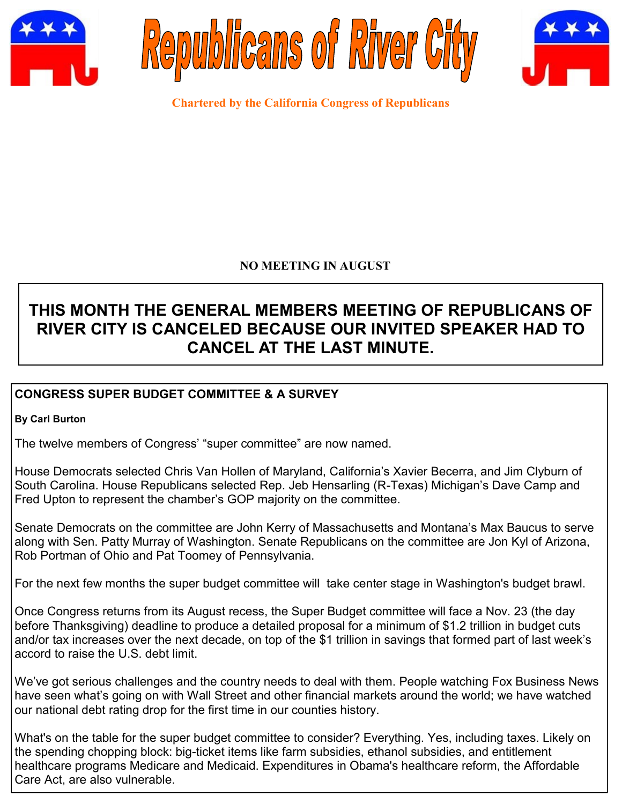





**Chartered by the California Congress of Republicans**

## **NO MEETING IN AUGUST**

# **THIS MONTH THE GENERAL MEMBERS MEETING OF REPUBLICANS OF RIVER CITY IS CANCELED BECAUSE OUR INVITED SPEAKER HAD TO CANCEL AT THE LAST MINUTE.**

# **CONGRESS SUPER BUDGET COMMITTEE & A SURVEY**

#### **By Carl Burton**

The twelve members of Congress' "super committee" are now named.

House Democrats selected Chris Van Hollen of Maryland, California's Xavier Becerra, and Jim Clyburn of South Carolina. House Republicans selected Rep. Jeb Hensarling (R-Texas) Michigan's Dave Camp and Fred Upton to represent the chamber's GOP majority on the committee.

Senate Democrats on the committee are John Kerry of Massachusetts and Montana's Max Baucus to serve along with Sen. Patty Murray of Washington. Senate Republicans on the committee are Jon Kyl of Arizona, Rob Portman of Ohio and Pat Toomey of Pennsylvania.

For the next few months the super budget committee will take center stage in Washington's budget brawl.

Once Congress returns from its August recess, the Super Budget committee will face a Nov. 23 (the day before Thanksgiving) deadline to produce a detailed proposal for a minimum of \$1.2 trillion in budget cuts and/or tax increases over the next decade, on top of the \$1 trillion in savings that formed part of last week's accord to raise the U.S. debt limit.

We've got serious challenges and the country needs to deal with them. People watching Fox Business News have seen what's going on with Wall Street and other financial markets around the world; we have watched our national debt rating drop for the first time in our counties history.

What's on the table for the super budget committee to consider? Everything. Yes, including taxes. Likely on the spending chopping block: big-ticket items like farm subsidies, ethanol subsidies, and entitlement healthcare programs Medicare and Medicaid. Expenditures in Obama's healthcare reform, the Affordable Care Act, are also vulnerable.